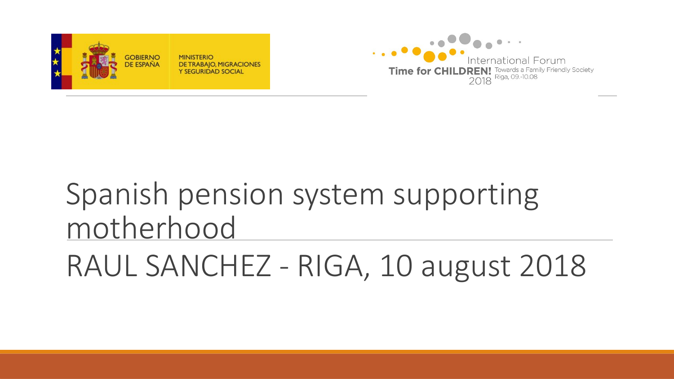# RAUL SANCHEZ - RIGA, 10 august 2018

# Spanish pension system supporting motherhood



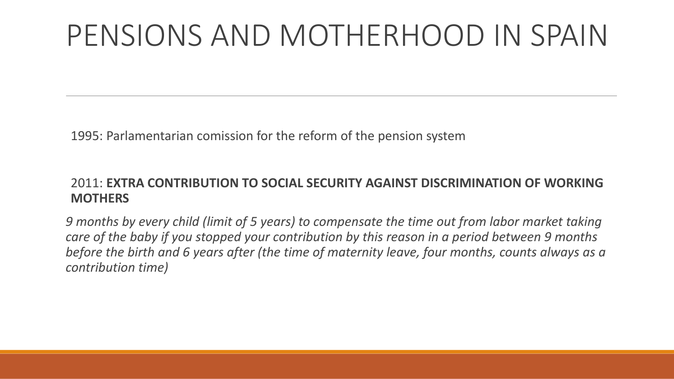1995: Parlamentarian comission for the reform of the pension system

#### 2011: **EXTRA CONTRIBUTION TO SOCIAL SECURITY AGAINST DISCRIMINATION OF WORKING MOTHERS**

*9 months by every child (limit of 5 years) to compensate the time out from labor market taking care of the baby if you stopped your contribution by this reason in a period between 9 months before the birth and 6 years after (the time of maternity leave, four months, counts always as a contribution time)*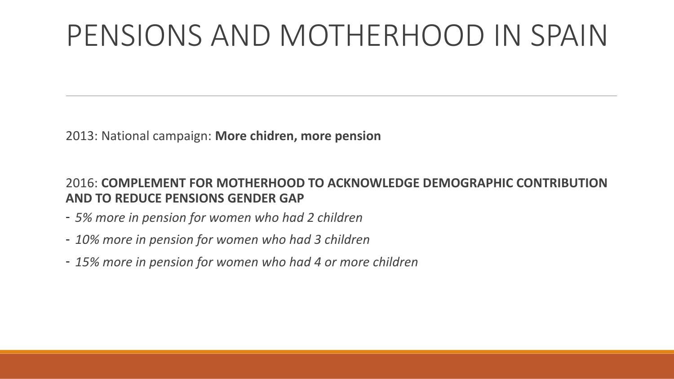2013: National campaign: **More chidren, more pension**

2016: **COMPLEMENT FOR MOTHERHOOD TO ACKNOWLEDGE DEMOGRAPHIC CONTRIBUTION AND TO REDUCE PENSIONS GENDER GAP** 

- *5% more in pension for women who had 2 children*
- *10% more in pension for women who had 3 children*
- *15% more in pension for women who had 4 or more children*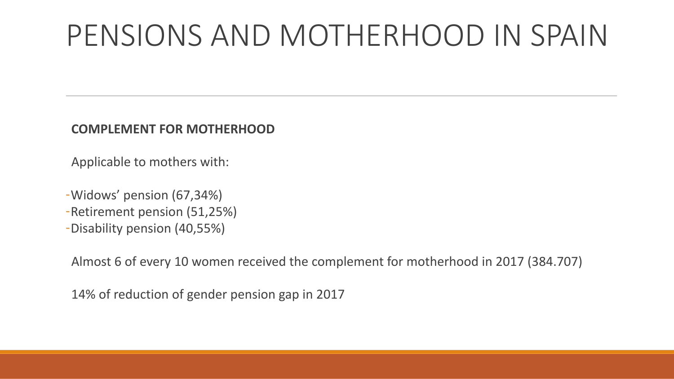#### **COMPLEMENT FOR MOTHERHOOD**

Applicable to mothers with:

- -Widows' pension (67,34%)
- -Retirement pension (51,25%)
- -Disability pension (40,55%)

Almost 6 of every 10 women received the complement for motherhood in 2017 (384.707)

14% of reduction of gender pension gap in 2017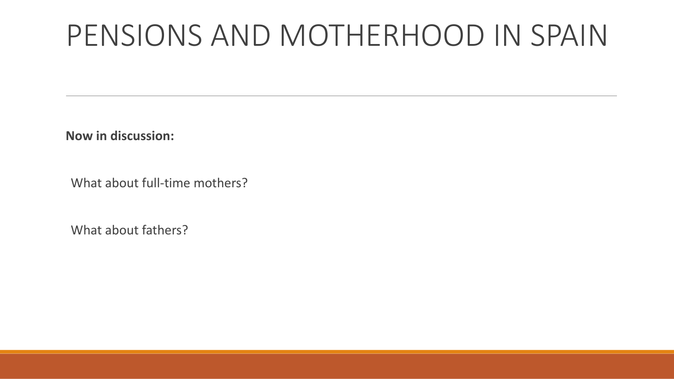**Now in discussion:**

What about full-time mothers?

What about fathers?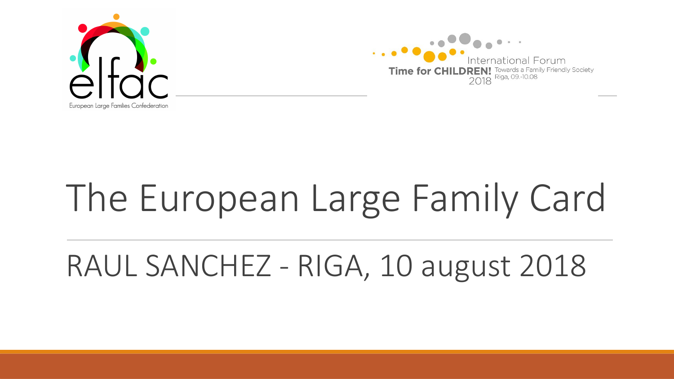



# The European Large Family Card

### RAUL SANCHEZ - RIGA, 10 august 2018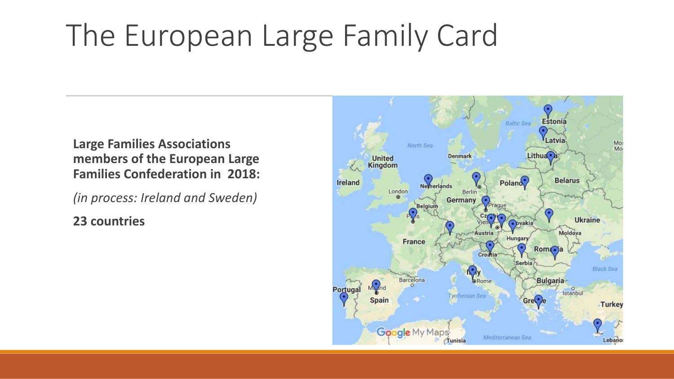## The European Large Family Card

**Large Families Associations members of the European Large Families Confederation in 2018:** 

*(in process: Ireland and Sweden)*

**23 countries**